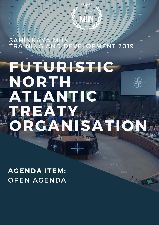# **IENT 2019**

**SAHINKAYA MUN TRAINING 2019 FUTURISTIC NATURE 0** 

# **FUTURISTIC** "NORTHUSE" ATLANTIC REATM. SATION CAN

**AGENDA ITEM: OPEN AGENDA**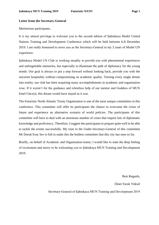#### **Letter from the Secretary-General**

Meritorious participants,

It is my utmost privilege to welcome you to the second edition of Şahinkaya Model United Nations Training and Development Conference which will be held between 6-8 December 2019. I am really honoured to serve you as the Secretary-General in my 3 years of Model UN experience.

Şahinkaya Model UN Club is working steadily to provide you with phenomenal experiences and unforgettable memories, but especially to illuminate the path of diplomacy for the young minds. Our goal is always to put a step forward without looking back, provide you with the sincerest hospitality without compromising on academic quality. Turning every single dream into reality, our club has been acquiring many accomplishments in academic and organisation wise. If it weren't for the guidance and relentless help of our mentor and Goddess of MUN Emel Güceyü, this dream would have stayed as it was.

The Futuristic North Atlantic Treaty Organisation is one of the most unique committees in this conference. This committee will offer its participants the chance to overcome the crises of future and experience an alternative scenario of world policies. The participants of this committee will have to deal with an enormous number of crises that require lots of diplomatic knowledge and proficiency. Therefore, I suggest the participants to prepare quite well to be able to tackle the events successfully. My trust in the Under-Secretary-General of this committee Mr Doruk Eray Sev is full to make this the boldest committee that this city has seen so far.

Briefly, on behalf of Academic and Organisation teams, I would like to state the deep feeling of excitement and merry to be welcoming you to Şahinkaya MUN Training and Development 2019.

Best Regards,

Ömer Faruk Yüksel

Secretary-General of Şahinkaya MUN Training and Development 2019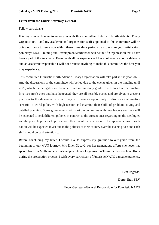#### **Letter from the Under-Secretary-General**

Fellow participants,

It is my utmost honour to serve you with this committee, Futuristic North Atlantic Treaty Organisation. I and my academic and organization staff appointed to this committee will be doing our bests to serve you within these three days period so as to ensure your satisfaction. Sahinkaya MUN Training and Development conference will be the  $4<sup>th</sup>$  Organization that I have been a part of the Academic Team. With all the experiences I have collected as both a delegate and an academic responsible I will not hesitate anything to make this committee the best you may experience.

This committee Futuristic North Atlantic Treaty Organisation will take part in the year 2023. And the discussions of the committee will be led due to the events given in the timeline until 2023, which the delegates will be able to see in this study guide. The events that the timeline involves aren't ones that have happened, they are all possible events and are given to create a platform to the delegates in which they will have an opportunity to discuss an alternative scenario of world policy with high tension and examine their skills of problem-solving and detailed planning. Some governments will start the committee with new leaders and they will be expected to seek different policies in contrast to the current ones regarding on the ideologies and the possible policies to pursue with their countries' status-quo. The representatives of each nation will be expected to act due to the policies of their country over the events given and each shift should be paid attention to.

Before concluding my letter, I would like to express my gratitude to our guide from the beginning of our MUN journey, Mrs Emel Güceyü, for her tremendous efforts she never has spared from our MUN society. I also appreciate our Organization Team for their endless efforts during the preparation process. I wish every participant of Futuristic NATO a great experience.

> Best Regards, Doruk Eray SEV Under-Secretary-General Responsible for Futuristic NATO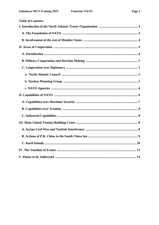| <b>Table of Contents</b> |  |
|--------------------------|--|
|                          |  |
|                          |  |
|                          |  |
|                          |  |
|                          |  |
|                          |  |
|                          |  |
|                          |  |
|                          |  |
|                          |  |
|                          |  |
|                          |  |
|                          |  |
|                          |  |
|                          |  |
|                          |  |
|                          |  |
|                          |  |
|                          |  |
|                          |  |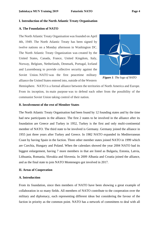#### **I. Introduction of the North Atlantic Treaty Organisation**

#### **A. The Foundation of NATO**

The North Atlantic Treaty Organisation was founded on April 4th, 1949. The North Atlantic Treaty has been signed by twelve nations on a Monday afternoon in Washington DC. The North Atlantic Treaty Organization was created by the United States, Canada, France, United Kingdom, Italy, Norway, Belgium, Netherlands, Denmark, Portugal, Iceland and Luxembourg to provide collective security against the Soviet Union. NATO was the first peacetime military alliance the United States entered into, outside of the Western



*Figure 1: The logo of NATO*

Hemisphere. NATO is a formal alliance between the territories of North America and Europe. From its inception, its main purpose was to defend each other from the possibility of the communist Soviet Union taking control of their nation.

# **B. Involvement of the rest of Member States**

The North Atlantic Treaty Organisation had been found by 12 founding states and by the time had new participants in the alliance. The first 2 states to be involved in the alliance after its foundation are Greece and Turkey in 1952, Turkey is the first and only multi-continental member of NATO. The third state to be involved is Germany. Germany joined the alliance in 1955 just three years after Turkey and Greece. In 1982 NATO expanded its Mediterranean Coast by having Spain in the faction. Three other member states joined NATO in 1999 which are Czechia, Hungary and Poland. When the calendars showed the year 2004 NATO had its biggest enlargement, having 7 more members in that are listed as Bulgaria, Estonia, Latvia, Lithuania, Romania, Slovakia and Slovenia. In 2009 Albania and Croatia joined the alliance, and as the final state to join NATO Montenegro got involved in 2017.

#### **II. Areas of Cooperation**

#### **A. Introduction**

From its foundation, since then members of NATO have been showing a great example of collaboration in so many fields. All members of NATO contribute to the cooperation over the military and diplomacy, each representing different ideas but considering the favour of the faction in priority as the common point. NATO has a network of committees to deal with all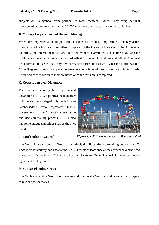subjects on its agenda, from political to more technical issues. They bring national representatives and experts from all NATO member countries together on a regular basis.

# **B. Military Cooperation and Decision Making**

When the implementation of political decisions has military implications, the key actors involved are the Military Committee, composed of the Chiefs of Defence of NATO member countries; the International Military Staff, the Military Committee's executive body; and the military command structure, composed of Allied Command Operations and Allied Command Transformation. NATO has very few permanent forces of its own. When the North Atlantic Council agrees to launch an operation, members contribute military forces on a voluntary basis. These forces then return to their countries once the mission is completed.

# **C. Cooperation over Diplomacy**

Each member country has a permanent delegation at NATO's political headquarters in Brussels. Each delegation is headed by an "ambassador", who represents his/her government in the Alliance's consultation and decision-making process. NATO also has some unique gatherings such as the ones listed;



# **a. North Atlantic Council**

*Figure 2: NATO Headquarters in Brusells-Belguim*

The North Atlantic Council (NAC) is the principal political decision-making body at NATO. Each member country has a seat at the NAC. It meets at least once a week or whenever the need arises, at different levels. It is chaired by the Secretary-General who helps members reach agreement on key issues.

# **b. Nuclear Planning Group**

The Nuclear Planning Group has the same authority as the North Atlantic Council with regard to nuclear policy issues.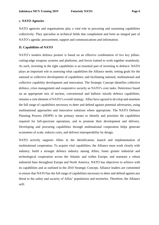# **c. NATO Agencies**

NATO agencies and organisations play a vital role in procuring and sustaining capabilities collectively. They specialise in technical fields that complement and form an integral part of NATO's agenda: procurement, support and communications and information.

# **II. Capabilities of NATO**

NATO's modern defence posture is based on an effective combination of two key pillars: cutting-edge weapons systems and platforms, and forces trained to work together seamlessly. As such, investing in the right capabilities is an essential part of investing in defence. NATO plays an important role in assessing what capabilities the Alliance needs; setting goals for the national or collective development of capabilities; and facilitating national, multinational and collective capability development and innovation. The Strategic Concept identifies collective defence, crisis management and cooperative security as NATO's core tasks. Deterrence based on an appropriate mix of nuclear, conventional and ballistic missile defence capabilities, remains a core element of NATO's overall strategy. Allies have agreed to develop and maintain the full range of capabilities necessary to deter and defend against potential adversaries, using multinational approaches and innovative solutions where appropriate. The NATO Defence Planning Process (NDPP) is the primary means to identify and prioritise the capabilities required for full-spectrum operations, and to promote their development and delivery. Developing and procuring capabilities through multinational cooperation helps generate economies of scale, reduces costs, and delivers interoperability by design.

NATO actively supports Allies in the identification, launch and implementation of multinational cooperation. To acquire vital capabilities, the Alliance must work closely with industry; build a stronger defence industry among Allies; foster greater industrial and technological cooperation across the Atlantic and within Europe, and maintain a robust industrial base throughout Europe and North America. NATO has objectives to achieve with its capabilities and as outlined in the 2010 Strategic Concept, Alliance leaders are committed to ensure that NATO has the full range of capabilities necessary to deter and defend against any threat to the safety and security of Allies' populations and territories. Therefore, the Alliance will: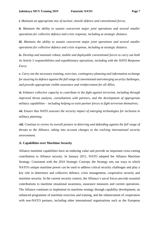*i. Maintain an appropriate mix of nuclear, missile defence and conventional forces.*

*ii. Maintain the ability to sustain concurrent major joint operations and several smaller operations for collective defence and crisis response, including at strategic distance.*

*iii. Maintain the ability to sustain concurrent major joint operations and several smaller operations for collective defence and crisis response, including at strategic distance.*

*iv. Develop and maintain robust, mobile and deployable conventional forces to carry out both its Article 5 responsibilities and expeditionary operations, including with the NATO Response Force.*

*v. Carry out the necessary training, exercises, contingency planning and information exchange for assuring its defence against the full range of conventional and emerging security challenges, and provide appropriate visible assurance and reinforcement for all Allies.*

*vi. Enhance collective capacity to contribute to the fight against terrorism, including through improved threat analysis, consultations with partners, and the development of appropriate military capabilities – including helping to train partner forces to fight terrorism themselves;*

*vii. Ensure that NATO assesses the security impact of emerging technologies for inclusion in military planning;*

*viii. Continue to review its overall posture in deterring and defending against the full range of threats to the Alliance, taking into account changes to the evolving international security environment.*

#### **A. Capabilities over Maritime Security**

Alliance maritime capabilities have an enduring value and provide an important cross-cutting contribution to Alliance security. In January 2011, NATO adopted the Alliance Maritime Strategy. Consistent with the 2010 Strategic Concept, the Strategy sets out ways in which NATO's unique maritime power can be used to address critical security challenges and play a key role in deterrence and collective defence, crisis management, cooperative security and maritime security. In the current security context, the Alliance's naval forces provide essential contributions to maritime situational awareness, assurance measures and current operations. The Alliance continues to implement its maritime strategy through capability development, an enhanced programme of maritime exercises and training, and the enhancement of cooperation with non-NATO partners, including other international organisations such as the European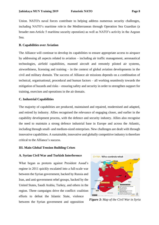Union. NATO's naval forces contribute to helping address numerous security challenges, including NATO's maritime role in the Mediterranean through Operation Sea Guardian (a broader non-Article 5 maritime security operation) as well as NATO's activity in the Aegean Sea.

# **B. Capabilities over Aviation**

The Alliance will continue to develop its capabilities to ensure appropriate access to airspace by addressing all aspects related to aviation – including air traffic management, aeronautical technologies, airfield capabilities, manned aircraft and remotely piloted air systems, airworthiness, licensing and training – in the context of global aviation developments in the civil and military domain. The success of Alliance air missions depends on a combination of technical, organisational, procedural and human factors – all working seamlessly towards the mitigation of hazards and risks – ensuring safety and security in order to strengthen support for training, exercises and operations in the air domain.

#### **C. Industrial Capabilities**

The majority of capabilities are produced, maintained and repaired, modernised and adapted, and retired by industry. Allies recognised the relevance of engaging closer, and earlier in the capability development process, with the defence and security industry. Allies also recognise the need to maintain a strong defence industrial base in Europe and across the Atlantic, including through small- and medium-sized enterprises. New challenges are dealt with through innovative capabilities. A sustainable, innovative and globally competitive industry is therefore critical to the Alliance's success.

#### **III. Main Global Tension Building Crises**

#### **A. Syrian Civil War and Turkish Interference**

What began as protests against President Assad's regime in 2011 quickly escalated into a full-scale war between the Syrian government, backed by Russia and Iran, and anti-government rebel groups, backed by the United States, Saudi Arabia, Turkey, and others in the region. Three campaigns drive the conflict: coalition efforts to defeat the Islamic State, violence between the Syrian government and opposition



*Figure 3: Map of the Civil War in Syria*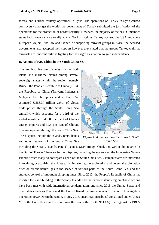forces, and Turkish military operations in Syria. The operations of Turkey in Syria caused controversy amongst the world, the government of Turkey submitted the justification of the operations for the protection of border security. However, the majority of the NATO member states had shown a stance totally against Turkish actions. Turkey accused the USA and some European Majors, like UK and France, of supporting terrorist groups in Syria, the accused governments also accepted their support however they stated that the groups Turkey claim as terrorists are innocent militias fighting for their right as a nation, to gain independence.

#### **B. Actions of P.R. China in the South China Sea**

The South China Sea disputes involve both island and maritime claims among several sovereign states within the region, namely Brunei, the People's Republic of China (PRC), the Republic of China (Taiwan), Indonesia, Malaysia, the Philippines, and Vietnam. An estimated US\$3.37 trillion worth of global trade passes through the South China Sea annually, which accounts for a third of the global maritime trade. 80 per cent of China's energy imports and 39.5 per cent of China's total trade passes through the South China Sea. The disputes include the islands, reefs, banks, and other features of the South China Sea,



*Figure 4: A map to show the status in South China Sea*

including the [Spratly Islands,](https://www.wikizeroo.org/index.php?q=aHR0cHM6Ly9lbi53aWtpcGVkaWEub3JnL3dpa2kvU3ByYXRseV9Jc2xhbmRz) [Paracel Islands,](https://www.wikizeroo.org/index.php?q=aHR0cHM6Ly9lbi53aWtpcGVkaWEub3JnL3dpa2kvUGFyYWNlbF9Jc2xhbmRz) [Scarborough Shoal,](https://www.wikizeroo.org/index.php?q=aHR0cHM6Ly9lbi53aWtpcGVkaWEub3JnL3dpa2kvU2NhcmJvcm91Z2hfU2hvYWw) and various boundaries in the [Gulf of Tonkin.](https://www.wikizeroo.org/index.php?q=aHR0cHM6Ly9lbi53aWtpcGVkaWEub3JnL3dpa2kvR3VsZl9vZl9Ub25raW4) There are further disputes, including the waters near the Indonesian [Natuna](https://www.wikizeroo.org/index.php?q=aHR0cHM6Ly9lbi53aWtpcGVkaWEub3JnL3dpa2kvTmF0dW5hX0lzbGFuZHM)  [Islands,](https://www.wikizeroo.org/index.php?q=aHR0cHM6Ly9lbi53aWtpcGVkaWEub3JnL3dpa2kvTmF0dW5hX0lzbGFuZHM) which many do not regard as part of the South China Sea. Claimant states are interested in retaining or acquiring the rights to fishing stocks, the exploration and potential exploitation of [crude oil](https://www.wikizeroo.org/index.php?q=aHR0cHM6Ly9lbi53aWtpcGVkaWEub3JnL3dpa2kvQ3J1ZGVfb2ls) and [natural gas](https://www.wikizeroo.org/index.php?q=aHR0cHM6Ly9lbi53aWtpcGVkaWEub3JnL3dpa2kvTmF0dXJhbF9nYXM) in the seabed of various parts of the South China Sea, and the strategic control of important [shipping lanes.](https://www.wikizeroo.org/index.php?q=aHR0cHM6Ly9lbi53aWtpcGVkaWEub3JnL3dpa2kvU2hpcHBpbmdfbGFuZXM) Since 2013, the People's Republic of China has resorted to island-building in the Spratly Islands and the Paracel Islands region. These actions have been met with wide international condemnation, and since 2015 the United States and other states such as [France](https://www.wikizeroo.org/index.php?q=aHR0cHM6Ly9lbi53aWtpcGVkaWEub3JnL3dpa2kvRnJhbmNl) and the [United Kingdom](https://www.wikizeroo.org/index.php?q=aHR0cHM6Ly9lbi53aWtpcGVkaWEub3JnL3dpa2kvVW5pdGVkX0tpbmdkb20) have conducted [freedom of navigation](https://www.wikizeroo.org/index.php?q=aHR0cHM6Ly9lbi53aWtpcGVkaWEub3JnL3dpa2kvRk9OT1BzX2R1cmluZ190aGVfT2JhbWFfQWRtaW5pc3RyYXRpb24)  [operations](https://www.wikizeroo.org/index.php?q=aHR0cHM6Ly9lbi53aWtpcGVkaWEub3JnL3dpa2kvRk9OT1BzX2R1cmluZ190aGVfT2JhbWFfQWRtaW5pc3RyYXRpb24) (FONOP) in the region. In July 2016, an arbitration tribunal constituted under Annex VII of the [United Nations Convention on the Law of the Sea](https://www.wikizeroo.org/index.php?q=aHR0cHM6Ly9lbi53aWtpcGVkaWEub3JnL3dpa2kvVW5pdGVkX05hdGlvbnNfQ29udmVudGlvbl9vbl90aGVfTGF3X29mX3RoZV9TZWE) (UNCLOS) ruled against the PRC's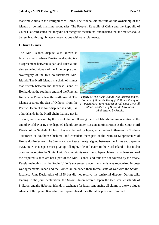maritime claims in the [Philippines v. China.](https://www.wikizeroo.org/index.php?q=aHR0cHM6Ly9lbi53aWtpcGVkaWEub3JnL3dpa2kvUGhpbGlwcGluZXNfdi5fQ2hpbmE) The tribunal did not rule on the ownership of the islands or delimit maritime boundaries. The People's Republic of China and the Republic of China (Taiwan) stated that they did not recognize the tribunal and insisted that the matter should be resolved through bilateral negotiations with other claimants.

# **C. Kuril Islands**

The Kuril Islands dispute, also known in Japan as the Northern Territories dispute, is a disagreement between Japan and Russia and also some individuals of the Ainu people over sovereignty of the four southernmost Kuril Islands. The Kuril Islands is a chain of islands that stretch between the Japanese island of Hokkaido at the southern end and the Russian Kamchatka Peninsula at the northern end. The islands separate the Sea of Okhotsk from the Pacific Ocean. The four disputed islands, like other islands in the Kuril chain that are not in



*Figure 5: The Kuril Islands with Russian names. Borders of Shimoda Treaty (1855) and Treaty of St. Petersburg (1875) shown in red. Since 1945 all islands northeast of Hokkaido have been administered by Russia.*

dispute, were annexed by the Soviet Union following the Kuril Islands landing operation at the end of World War II. The disputed islands are under Russian administration as the South Kuril District of the Sakhalin Oblast. They are claimed by Japan, which refers to them as its Northern Territories or Southern Chishima, and considers them part of the Nemuro Subprefecture of Hokkaido Prefecture. The San Francisco Peace Treaty, signed between the Allies and Japan in 1951, states that Japan must give up "all right, title and claim to the Kuril Islands", but it also does not recognize the Soviet Union's sovereignty over them. Japan claims that at least some of the disputed islands are not a part of the Kuril Islands, and thus are not covered by the treaty. Russia maintains that the Soviet Union's sovereignty over the islands was recognized in postwar agreements. Japan and the Soviet Union ended their formal state of war with the Soviet– Japanese Joint Declaration of 1956 but did not resolve the territorial dispute. During talks leading to the joint declaration, the Soviet Union offered Japan the two smaller islands of Shikotan and the Habomai Islands in exchange for Japan renouncing all claims to the two bigger islands of Iturup and Kunashir, but Japan refused the offer after pressure from the US.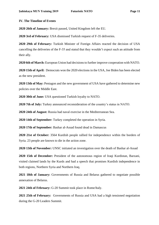# **IV. The Timeline of Events**

**2020 26th of January:** Brexit passed, United Kingdom left the EU.

**2020 3rd of February:** USA dismissed Turkish request of F-35 deliveries.

**2020 29th of February:** Turkish Minister of Foreign Affairs reacted the decision of USA cancelling the deliveries of the F-35 and stated that they wouldn't expect such an attitude from their ally.

**2020 6th of March:** European Union had decisions to further improve cooperation with NATO.

**2020 15th of April:** Democrats won the 2020 elections in the USA, Joe Biden has been elected as the new president.

**2020 13th of May:** Pentagon and the new government of USA have gathered to determine new policies over the Middle East.

**2020 30th of June:** USA questioned Turkish loyalty to NATO.

**2020 7th of July:** Turkey announced reconsideration of the country's status in NATO.

**2020 24th of August:** Russia had naval exercise in the Mediterranean Sea.

**2020 14th of September:** Turkey completed the operation in Syria.

**2020 17th of September:** Bashar al-Assad found dead in Damascus

**2020 21st of October:** 3564 Kurdish people rallied for independence within the borders of Syria. 23 people are known to die in the action zone.

**2020 13th of November:** UNSC initiated an investigation over the death of Bashar al-Assad

**2020 15th of December:** President of the autonomous region of Iraqi Kurdistan, Barzani, visited claimed lands by the Kurds and had a speech that promises Kurdish independence in both regions, Northern Syria and Northern Iraq.

**2021 18th of January:** Governments of Russia and Belarus gathered to negotiate possible annexation of Belarus.

**2021 24th of February:** G-20 Summit took place in Rome/Italy.

**2021 25th of February:** Governments of Russia and USA had a high tensioned negotiation during the G-20 Leaders Summit.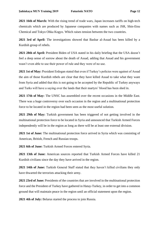**2021 16th of March:** With the rising trend of trade wars, Japan increases tariffs on high-tech chemicals which are produced by Japanese companies with names such as JSR, Shin-Etsu Chemical and Tokyo Ohka Kogyo. Which raises tension between the two countries.

**2021 3rd of April:** The investigations showed that Bashar al-Assad has been killed by a Kurdish group of rebels.

**2021 28th of April:** President Biden of USA stated in his daily briefing that the USA doesn't feel a deep sense of sorrow about the death of Assad, adding that Assad and his government wasn't even able to use their power of rule and they were of no use.

**2021 1st of May:** President Erdogan stated that even if Turkey's policies were against of Assad the aim of those Kurdish rebels are clear that they have killed Assad to take what they want from Syria and added that this is not going to be accepted by the Republic of Turkey anyways and Turks will have a saying over the lands that their martyrs' blood has been shed in.

**2021 17th of May:** The UNSC has assembled over the recent occasions in the Middle East. There was a huge controversy over each occasion in the region and a multinational protection force to be located in the region had been seen as the most useful solution.

**2021 29th of May:** Turkish government has been triggered of not getting involved in the multinational protection force to be located in Syria and announced that Turkish Armed Forces independently will be in the region as long as there will be at least one external division.

**2021 1st of June:** The multinational protection force arrived in Syria which was consisting of American, British, French and Russian troops.

**2021 6th of June:** Turkish Armed Forces entered Syria.

**2021 13th of June:** American sources reported that Turkish Armed Forces have killed 21 Kurdish civilians since the day they have arrived in the region.

**2021 14th of June:** Turkish General Staff stated that they haven't killed civilians they only have thwarted the terrorists attacking their army.

**2021 23rd of June:** Presidents of the countries that are involved in the multinational protection force and the President of Turkey have gathered in Hatay-Turkey, in order to get into a common ground that will maintain peace in the region until an official statement upon the region.

**2021 4th of July:** Belarus started the process to join Russia.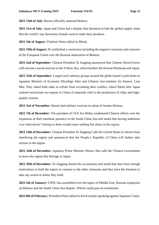**2021 13th of July:** Russia officially annexed Belarus.

**2021 21st of July:** Japan and China had a dispute that threatens to halt the global supply chain that the world's top electronics brands need to make their products.

**2021 5th of August:** Vladimir Putin rallied in Minsk.

**2021 19th of August:** EU published a conclusion including the negative reactions and concerns of the European Union over the Russian annexation of Belarus.

**2021 2nd of September:** Chinese President Xi Jingping announced that Chinese Naval Forces will execute a naval exercise in the Yellow Sea, which borders the Korean Peninsula and Japan.

**2021 25th of September:** Largest tech industry groups around the globe issued a joint letter to Japanese Minister of Economy Hiroshige Seko and Chinese vice-minister for finance, Liao Min. They asked both sides to refrain from escalating their conflict, which flared after Japan ordered restrictions on exports to China of materials vital to the production of chips and highquality screens.

**2021 3rd of November:** Russia had military exercise in urban of former Belarus.

**2021 7th of December:** The president of USA Joe Biden condemned Chinese efforts over the expansion of their maritime presence in the South China Sea and stated that having ambitions over what doesn't belong to them would cause nothing but chaos in the region.

**2021 14th of December:** Chinese President Xi Jingping Calls the United States to refrain from interfering the region and announced that the People's Republic of China will further take actions in the region.

**2021 24th of December:** Japanese Prime Minister Shinzo Abe calls the Chinese Government to leave the region that belongs to Japan.

**2021 29th of December:** Xi Jingping denied the accusations and stated that they have enough motivations to hold the region in contrast to the other claimants and they have the freedom to take any action in where they hold.

**2022 5th of January:** UNSC has assembled over the topics of Middle East, Russian expansion on Belarus and the South China Sea dispute. Which could pass no resolutions.

**2022 8th of February:** President Putin rallied in Kirol mainly speaking against Japanese Claim.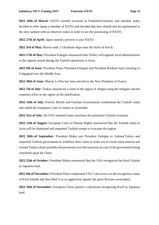**2022 10th of March:** NATO summit occurred in Frankfurt/Germany and member states decided to offer Japan a member of NATO and decided that they should also be represented in the next summit with an observer status in order to see the processing of NATO.

**2022 27th of April:** Japan started a process to join NATO.

**2022 3rd of May:** Russia sank 2 Ukrainian ships near the Strait of Kerch.

**2022 17th of May:** President Erdoğan announced that Turkey will appoint local administrators to the regions seized during the Turkish operations in Syria.

**2022 9th of June:** President Putin, President Erdoğan and President Rouhani had a meeting in Volgograd over the Middle East.

**2022 30th of June:** Marine Le Pen has been elected as the New President of France.

**2022 7th of July:** Turkey announced a claim in the region of Aleppo using the refugees and the countries effort in the region as the justification.

**2022 24th of July:** French, British and German Governments condemned the Turkish claim and called the European Court of Justice to Assemble.

**2022 31st of July:** the USA initiated some sanctions the pressurize Turkish economy.

**2022 12th of August:** European Court of Human Rights announced that the Turkish claim in Syria will be dismissed and requested Turkish troops to evacuate the region.

**2022 28th of September:** President Biden met President Erdoğan in Ankara/Turkey and requested Turkish government to withdraw their claim in order not to create more tension and warned Turkey about possible advancements over the sanctions in case of the government being consistent upon the claim.

**2022 25th of October:** President Biden announced that the USA recognized the Kuril Islands as Japanese land.

**2022 4th of November:** President Putin condemned USA's decision over the recognition status of Kirol Islands and described it as an aggression against the great Russian sovereignty.

**2022 16th of November:** European Union passed a conclusion recognising Kuril as Japanese land.